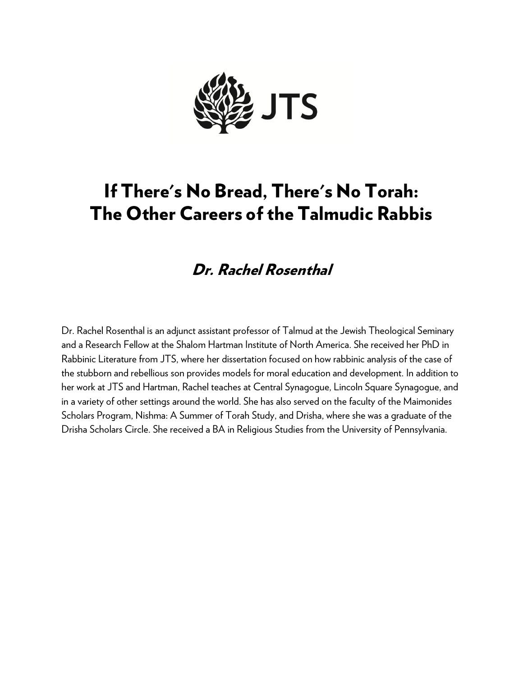

## If There's No Bread, There's No Torah: The Other Careers of the Talmudic Rabbis

## Dr. Rachel Rosenthal

Dr. Rachel Rosenthal is an adjunct assistant professor of Talmud at the Jewish Theological Seminary and a Research Fellow at the Shalom Hartman Institute of North America. She received her PhD in Rabbinic Literature from JTS, where her dissertation focused on how rabbinic analysis of the case of the stubborn and rebellious son provides models for moral education and development. In addition to her work at JTS and Hartman, Rachel teaches at Central Synagogue, Lincoln Square Synagogue, and in a variety of other settings around the world. She has also served on the faculty of the Maimonides Scholars Program, Nishma: A Summer of Torah Study, and Drisha, where she was a graduate of the Drisha Scholars Circle. She received a BA in Religious Studies from the University of Pennsylvania.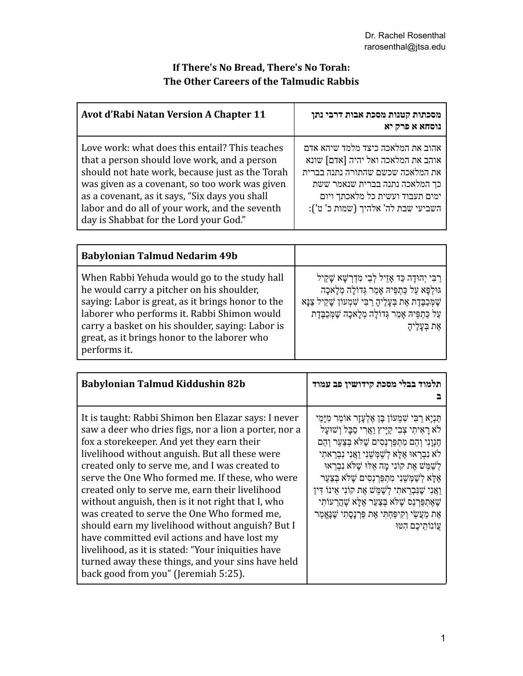## **If There's No Bread, There's No Torah: The Other Careers of the Talmudic Rabbis**

| <b>Avot d'Rabi Natan Version A Chapter 11</b>                                                                                                                                                                                                                                                                                                     | מסכתות קטנות מסכת אבות דרבי נתן<br>נוסחא א פרק יא                                                                                                                                                                      |
|---------------------------------------------------------------------------------------------------------------------------------------------------------------------------------------------------------------------------------------------------------------------------------------------------------------------------------------------------|------------------------------------------------------------------------------------------------------------------------------------------------------------------------------------------------------------------------|
| Love work: what does this entail? This teaches<br>that a person should love work, and a person<br>should not hate work, because just as the Torah<br>was given as a covenant, so too work was given<br>as a covenant, as it says, "Six days you shall<br>labor and do all of your work, and the seventh<br>day is Shabbat for the Lord your God." | אהוב את המלאכה כיצד מלמד שיהא אדם<br>אוהב את המלאכה ואל יהיה [אדם] שונא<br>את המלאכה שכשם שהתורה נתנה בברית<br>כך המלאכה נתנה בברית שנאמר ששת<br>ימים תעבוד ועשית כל מלאכתך ויום<br>השביעי שבת לה' אלהיך (שמות כ' ט'): |

| <b>Babylonian Talmud Nedarim 49b</b>                                                                                                                                                                                                                                                                              |                                                                                                                                                                                                                                                            |
|-------------------------------------------------------------------------------------------------------------------------------------------------------------------------------------------------------------------------------------------------------------------------------------------------------------------|------------------------------------------------------------------------------------------------------------------------------------------------------------------------------------------------------------------------------------------------------------|
| When Rabbi Yehuda would go to the study hall<br>he would carry a pitcher on his shoulder,<br>saying: Labor is great, as it brings honor to the<br>laborer who performs it. Rabbi Shimon would<br>carry a basket on his shoulder, saying: Labor is<br>great, as it brings honor to the laborer who<br>performs it. | ַרַבִּי יְהוּדָה כַּד אָזֵיל לְבֵי מְדְרָשָׁא שָׁקֵיל<br>גּוּלְפָּא עַל כַּתְפִּיהּ אָמַר גְּדוֹלָה מְלָאכָה<br>שַׁמְּכַבֶּדֶת אֶת בְּעָלֶיהָ רַבִּי שְׁמְעוֹן שָׁקֵיל צַנָּא<br>עַל כַּתְפֵּיהּ אָמַר גְּדוֹלָה מְלָאכָה שֶׁמְּכַבֶּדֶת<br>אֵת בִּעֲלֵיהָ |

| Babylonian Talmud Kiddushin 82b                                                                                                                                                                                                                                                                                                                                                                                                                                                                                                                                                                                                                                                                                                 | תלמוד בבלי מסכת קידושין פב עמוד                                                                                                                                                                                                                                                                                                                                                                                                                                                                                                                         |
|---------------------------------------------------------------------------------------------------------------------------------------------------------------------------------------------------------------------------------------------------------------------------------------------------------------------------------------------------------------------------------------------------------------------------------------------------------------------------------------------------------------------------------------------------------------------------------------------------------------------------------------------------------------------------------------------------------------------------------|---------------------------------------------------------------------------------------------------------------------------------------------------------------------------------------------------------------------------------------------------------------------------------------------------------------------------------------------------------------------------------------------------------------------------------------------------------------------------------------------------------------------------------------------------------|
| It is taught: Rabbi Shimon ben Elazar says: I never<br>saw a deer who dries figs, nor a lion a porter, nor a<br>fox a storekeeper. And yet they earn their<br>livelihood without anguish. But all these were<br>created only to serve me, and I was created to<br>serve the One Who formed me. If these, who were<br>created only to serve me, earn their livelihood<br>without anguish, then is it not right that I, who<br>was created to serve the One Who formed me,<br>should earn my livelihood without anguish? But I<br>have committed evil actions and have lost my<br>livelihood, as it is stated: "Your iniquities have<br>turned away these things, and your sins have held<br>back good from you" (Jeremiah 5:25). | תַּנְיָא רַבִּי שָׁמְעוֹן בֶּן אֶלְעָזָר אוֹמֵר מִיָּמַי<br>לֹא רַאִיתִי צִבִי קַיַּיץ וַאֲרִי סַבָּל וְשׁוּעַל<br>הֵגְוַנִי וְהֵם מְתִפַּרְנְסִים שֶׁלֹּא בְּצַעַר וְהֵם<br>לֹא נִבְרָאוּ אֱלַא לְשָׁמָּשֶׁנִי וַאֲנִי נִבְרֵאתִי<br>לְשָׁמֵשׁ אֵת קוֹנִי מַה אֵלוּ שֵׁלֹּא נִבְרְאוּ<br>אֵלַא לְשַׁמִּשֵׁנִי מְתִפַּרְנָסִים שֵׁלֹּא בְּצַעַר<br>וַאֲנִי שֶׁנִּבְרֵאתִי לְשַׁמֵּשׁ אֶת קוֹנִי אֵינוֹ דִּין<br>שֶׁאֶתְפַּרְנֵס שֶׁלֹּא בְּצַעַר אֶלָא שֶׁהָרֵעוֹתִי<br>אֶת מַעֲשַׂי וְקִיפַּחְתִּי אֶת פַּרְנָסָתִי שֶׁנֶאֱמַר<br>עֲוֹנוֹתֵיכֵם הָטּוּ |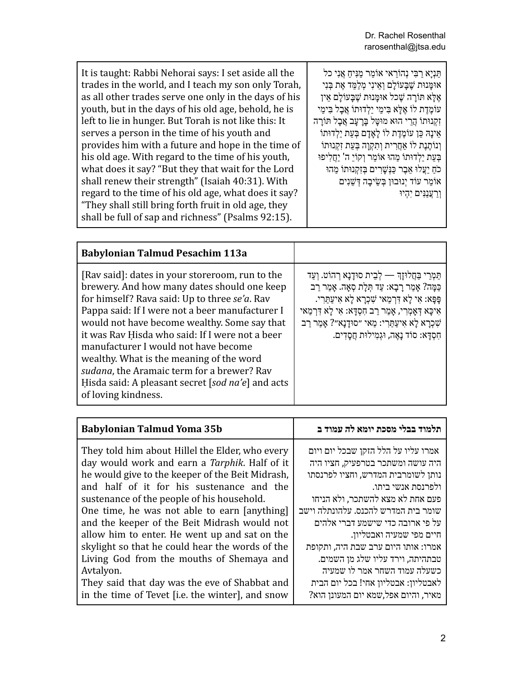| <b>Babylonian Talmud Pesachim 113a</b>                                                                                                                                                                                                                                                                                                                                                                                                                                                                              |                                                                                                                                                                                                                                                                                                                                     |
|---------------------------------------------------------------------------------------------------------------------------------------------------------------------------------------------------------------------------------------------------------------------------------------------------------------------------------------------------------------------------------------------------------------------------------------------------------------------------------------------------------------------|-------------------------------------------------------------------------------------------------------------------------------------------------------------------------------------------------------------------------------------------------------------------------------------------------------------------------------------|
| [Rav said]: dates in your storeroom, run to the<br>brewery. And how many dates should one keep<br>for himself? Rava said: Up to three se'a. Rav<br>Pappa said: If I were not a beer manufacturer I<br>would not have become wealthy. Some say that<br>it was Rav Hisda who said: If I were not a beer<br>manufacturer I would not have become<br>wealthy. What is the meaning of the word<br>sudana, the Aramaic term for a brewer? Rav<br>Hisda said: A pleasant secret [sod na'e] and acts<br>of loving kindness. | תַּמְרֵי בַּחֲלוּזָךְ — לְבֵית סוּדָנָא רְהוֹט. וְעַד<br>כַּמָּה? אָמַר רָבָא: עַד תְּלַת סְאָה. אָמַר רַב<br>ַפָּפָא: אִי לָא דְּרְמַאי שָׁכְרָא לָא אִיעַתַּרִי.<br>אִיכָּא דְאָמְרִי, אָמַר רַב חִסְדָא: אִי לַא דִּרְמַאי<br>שָׁכְרָא לָא אִיעַתַּרִי: מַאי ״סוּדָנָא״? אַמַר רַב<br>חִסְדָא: סוֹד נַאֱה, וּגִמְילוּת חֲסָדִים. |

| <b>Babylonian Talmud Yoma 35b</b>                                                                                                                                                                                                                                                                                                                                                                                                                                                                                                                                                                                  | תלמוד בבלי מסכת יומא לה עמוד ב                                                                                                                                                                                                                                                                                                                                                                                                                                           |
|--------------------------------------------------------------------------------------------------------------------------------------------------------------------------------------------------------------------------------------------------------------------------------------------------------------------------------------------------------------------------------------------------------------------------------------------------------------------------------------------------------------------------------------------------------------------------------------------------------------------|--------------------------------------------------------------------------------------------------------------------------------------------------------------------------------------------------------------------------------------------------------------------------------------------------------------------------------------------------------------------------------------------------------------------------------------------------------------------------|
| They told him about Hillel the Elder, who every<br>day would work and earn a Tarphik. Half of it<br>he would give to the keeper of the Beit Midrash,<br>and half of it for his sustenance and the<br>sustenance of the people of his household.<br>One time, he was not able to earn [anything]<br>and the keeper of the Beit Midrash would not<br>allow him to enter. He went up and sat on the<br>skylight so that he could hear the words of the<br>Living God from the mouths of Shemaya and<br>Avtalyon.<br>They said that day was the eve of Shabbat and<br>in the time of Tevet [i.e. the winter], and snow | אמרו עליו על הלל הזקן שבכל יום ויום<br>היה עושה ומשתכר בטרפעיק, חציו היה<br>נותן לשומרבית המדרש, וחציו לפרנסתו<br>ולפרנסת אנשי ביתו.<br>פעם אחת לא מצא להשתכר, ולא הניחו<br>שומר בית המדרש להכנס. עלהונתלה וישב<br>על פי ארובה כדי שישמע דברי אלהים<br>חיים מפי שמעיה ואבטליון.<br>אמרו: אותו היום ערב שבת היה, ותקופת<br>טבתהיתה, וירד עליו שלג מן השמים.<br>כשעלה עמוד השחר אמר לו שמעיה<br>לאבטליון: אבטליון אחי! בכל יום הבית<br>מאיר, והיום אפל,שמא יום המעונן הוא? |
|                                                                                                                                                                                                                                                                                                                                                                                                                                                                                                                                                                                                                    |                                                                                                                                                                                                                                                                                                                                                                                                                                                                          |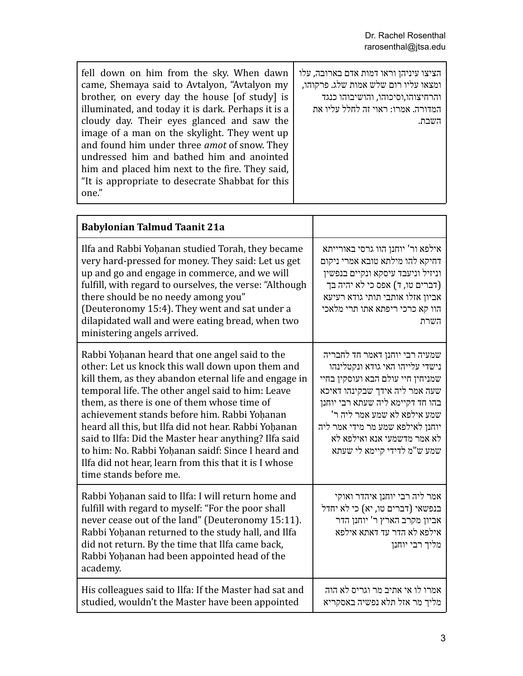| fell down on him from the sky. When dawn<br>came, Shemaya said to Avtalyon, "Avtalyon my<br>brother, on every day the house [of study] is<br>illuminated, and today it is dark. Perhaps it is a<br>cloudy day. Their eyes glanced and saw the<br>image of a man on the skylight. They went up<br>and found him under three <i>amot</i> of snow. They | הציצו עיניהן וראו דמות אדם בארובה, עלו<br>ומצאו עליו רום שלש אמות שלג. פרקוהו,<br>והרחיצוהו,וסיכוהו, והושיבוהו כנגד<br>המדורה. אמרו: ראוי זה לחלל עליו את<br>השבת. |
|------------------------------------------------------------------------------------------------------------------------------------------------------------------------------------------------------------------------------------------------------------------------------------------------------------------------------------------------------|--------------------------------------------------------------------------------------------------------------------------------------------------------------------|
| undressed him and bathed him and anointed<br>him and placed him next to the fire. They said,<br>"It is appropriate to desecrate Shabbat for this<br>one."                                                                                                                                                                                            |                                                                                                                                                                    |

| <b>Babylonian Talmud Taanit 21a</b>                                                                                                                                                                                                                                                                                                                                                                                                                                                                                                                                       |                                                                                                                                                                                                                                                                                                               |
|---------------------------------------------------------------------------------------------------------------------------------------------------------------------------------------------------------------------------------------------------------------------------------------------------------------------------------------------------------------------------------------------------------------------------------------------------------------------------------------------------------------------------------------------------------------------------|---------------------------------------------------------------------------------------------------------------------------------------------------------------------------------------------------------------------------------------------------------------------------------------------------------------|
| Ilfa and Rabbi Yohanan studied Torah, they became<br>very hard-pressed for money. They said: Let us get<br>up and go and engage in commerce, and we will<br>fulfill, with regard to ourselves, the verse: "Although<br>there should be no needy among you"<br>(Deuteronomy 15:4). They went and sat under a<br>dilapidated wall and were eating bread, when two<br>ministering angels arrived.                                                                                                                                                                            | אילפא ור' יוחנן הוו גרסי באורייתא<br>דחיקא להו מילתא טובא אמרי ניקום<br>וניזיל וניעבד עיסקא ונקיים בנפשין<br>(דברים טו, ד) אפס כי לא יהיה בך<br>אביון אזלו אותבי תותי גודא רעיעא<br>הוו קא כרכי ריפתא אתו תרי מלאכי<br>השרת                                                                                   |
| Rabbi Yohanan heard that one angel said to the<br>other: Let us knock this wall down upon them and<br>kill them, as they abandon eternal life and engage in<br>temporal life. The other angel said to him: Leave<br>them, as there is one of them whose time of<br>achievement stands before him. Rabbi Yohanan<br>heard all this, but Ilfa did not hear. Rabbi Yohanan<br>said to Ilfa: Did the Master hear anything? Ilfa said<br>to him: No. Rabbi Yoḥanan saidf: Since I heard and<br>Ilfa did not hear, learn from this that it is I whose<br>time stands before me. | שמעיה רבי יוחנן דאמר חד לחבריה<br>נישדי עלייהו האי גודא ונקטלינהו<br>שמניחין חיי עולם הבא ועוסקין בחיי<br>שעה אמר ליה אידך שבקינהו דאיכא<br>בהו חד דקיימא ליה שעתא רבי יוחנן<br>שמע אילפא לא שמע אמר ליה ר'<br>יוחנן לאילפא שמע מר מידי אמר ליה<br>לא אמר מדשמעי אנא ואילפא לא<br>שמע ש"מ לדידי קיימא לי שעתא |
| Rabbi Yohanan said to Ilfa: I will return home and<br>fulfill with regard to myself: "For the poor shall<br>never cease out of the land" (Deuteronomy 15:11).<br>Rabbi Yohanan returned to the study hall, and Ilfa<br>did not return. By the time that Ilfa came back,<br>Rabbi Yohanan had been appointed head of the<br>academy.                                                                                                                                                                                                                                       | אמר ליה רבי יוחנן איהדר ואוקי<br>בנפשאי (דברים טו, יא) כי לא יחדל<br>אביון מקרב הארץ ר' יוחנן הדר<br>אילפא לא הדר עד דאתא אילפא<br>מליך רבי יוחנן                                                                                                                                                             |
| His colleagues said to Ilfa: If the Master had sat and<br>studied, wouldn't the Master have been appointed                                                                                                                                                                                                                                                                                                                                                                                                                                                                | אמרו לו אי אתיב מר וגריס לא הוה<br>מליך מר אזל תלא נפשיה באסקריא                                                                                                                                                                                                                                              |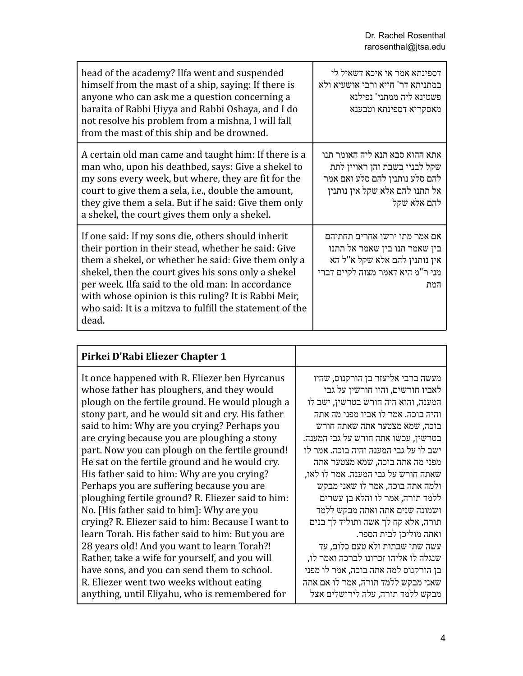| head of the academy? Ilfa went and suspended<br>himself from the mast of a ship, saying: If there is<br>anyone who can ask me a question concerning a<br>baraita of Rabbi Hiyya and Rabbi Oshaya, and I do<br>not resolve his problem from a mishna, I will fall<br>from the mast of this ship and be drowned.                                                                                            | דספינתא אמר אי איכא דשאיל לי<br>במתניתא דר' חייא ורבי אושעיא ולא<br>פשטינא ליה ממתני' נפילנא<br>מאסקריא דספינתא וטבענא                             |
|-----------------------------------------------------------------------------------------------------------------------------------------------------------------------------------------------------------------------------------------------------------------------------------------------------------------------------------------------------------------------------------------------------------|----------------------------------------------------------------------------------------------------------------------------------------------------|
| A certain old man came and taught him: If there is a<br>man who, upon his deathbed, says: Give a shekel to<br>my sons every week, but where, they are fit for the<br>court to give them a sela, i.e., double the amount,<br>they give them a sela. But if he said: Give them only<br>a shekel, the court gives them only a shekel.                                                                        | אתא ההוא סבא תנא ליה האומר תנו<br>שקל לבניי בשבת והן ראויין לתת<br>להם סלע נותנין להם סלע ואם אמר<br>אל תתנו להם אלא שקל אין נותנין<br>להם אלא שקל |
| If one said: If my sons die, others should inherit<br>their portion in their stead, whether he said: Give<br>them a shekel, or whether he said: Give them only a<br>shekel, then the court gives his sons only a shekel<br>per week. Ilfa said to the old man: In accordance<br>with whose opinion is this ruling? It is Rabbi Meir,<br>who said: It is a mitzva to fulfill the statement of the<br>dead. | אם אמר מתו ירשו אחרים תחתיהם<br>בין שאמר תנו בין שאמר אל תתנו<br>אין נותנין להם אלא שקל א"ל הא<br>מני ר"מ היא דאמר מצוה לקיים דברי<br>המת          |

| Pirkei D'Rabi Eliezer Chapter 1                                                                                                                                                                                                                                                                                                                                                                                                                                                                                                                                                                                                                                                                                                                               |                                                                                                                                                                                                                                                                                                                                                                                                                                                                                                                                                         |
|---------------------------------------------------------------------------------------------------------------------------------------------------------------------------------------------------------------------------------------------------------------------------------------------------------------------------------------------------------------------------------------------------------------------------------------------------------------------------------------------------------------------------------------------------------------------------------------------------------------------------------------------------------------------------------------------------------------------------------------------------------------|---------------------------------------------------------------------------------------------------------------------------------------------------------------------------------------------------------------------------------------------------------------------------------------------------------------------------------------------------------------------------------------------------------------------------------------------------------------------------------------------------------------------------------------------------------|
| It once happened with R. Eliezer ben Hyrcanus<br>whose father has ploughers, and they would<br>plough on the fertile ground. He would plough a<br>stony part, and he would sit and cry. His father<br>said to him: Why are you crying? Perhaps you<br>are crying because you are ploughing a stony<br>part. Now you can plough on the fertile ground!<br>He sat on the fertile ground and he would cry.<br>His father said to him: Why are you crying?<br>Perhaps you are suffering because you are<br>ploughing fertile ground? R. Eliezer said to him:<br>No. [His father said to him]: Why are you<br>crying? R. Eliezer said to him: Because I want to<br>learn Torah. His father said to him: But you are<br>28 years old! And you want to learn Torah?! | מעשה ברבי אליעזר בן הורקנוס, שהיו<br>לאביו חורשים, והיו חורשין על גבי<br>המענה, והוא היה חורש בטרשין, ישב לו<br>והיה בוכה. אמר לו אביו מפני מה אתה<br>בוכה, שמא מצטער אתה שאתה חורש<br>בטרשין, עכשו אתה חורש על גבי המענה.<br>ישב לו על גבי המענה והיה בוכה. אמר לו<br>מפני מה אתה בוכה, שמא מצטער אתה<br>שאתה חורש על גבי המענה. אמר לו לאו,<br>ולמה אתה בוכה, אמר לו שאני מבקש<br>ללמד תורה, אמר לו והלא בן עשרים<br>ושמונה שנים אתה ואתה מבקש ללמד<br>תורה, אלא קח לך אשה ותוליד לך בנים<br>ואתה מוליכן לבית הספר.<br>עשה שתי שבתות ולא טעם כלום, עד |
| Rather, take a wife for yourself, and you will                                                                                                                                                                                                                                                                                                                                                                                                                                                                                                                                                                                                                                                                                                                | שנגלה לו אליהו זכרונו לברכה ואמר לו,                                                                                                                                                                                                                                                                                                                                                                                                                                                                                                                    |
| have sons, and you can send them to school.<br>R. Eliezer went two weeks without eating                                                                                                                                                                                                                                                                                                                                                                                                                                                                                                                                                                                                                                                                       | בן הורקנוס למה אתה בוכה, אמר לו מפני<br>שאני מבקש ללמד תורה, אמר לו אם אתה                                                                                                                                                                                                                                                                                                                                                                                                                                                                              |
| anything, until Eliyahu, who is remembered for                                                                                                                                                                                                                                                                                                                                                                                                                                                                                                                                                                                                                                                                                                                | מבקש ללמד תורה, עלה לירושלים אצל                                                                                                                                                                                                                                                                                                                                                                                                                                                                                                                        |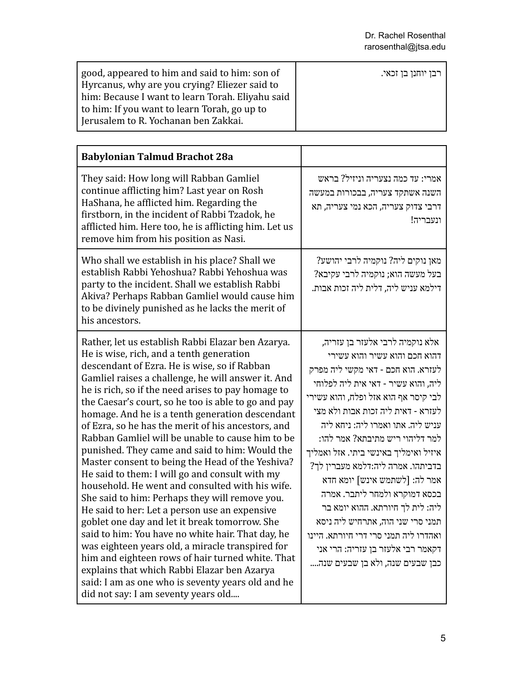| good, appeared to him and said to him: son of<br>Hyrcanus, why are you crying? Eliezer said to | רבן יוחנן בן זכאי. |
|------------------------------------------------------------------------------------------------|--------------------|
| him: Because I want to learn Torah. Eliyahu said                                               |                    |
| to him: If you want to learn Torah, go up to<br>Jerusalem to R. Yochanan ben Zakkai.           |                    |

| <b>Babylonian Talmud Brachot 28a</b>                                                                                                                                                                                                                                                                                                                                                                                                                                                                                                                                                                                                                                                                                                                                                                                                                                                                                                                                                                                                                                                                                                                 |                                                                                                                                                                                                                                                                                                                                                                                                                                                                                                                                                                                                                                               |
|------------------------------------------------------------------------------------------------------------------------------------------------------------------------------------------------------------------------------------------------------------------------------------------------------------------------------------------------------------------------------------------------------------------------------------------------------------------------------------------------------------------------------------------------------------------------------------------------------------------------------------------------------------------------------------------------------------------------------------------------------------------------------------------------------------------------------------------------------------------------------------------------------------------------------------------------------------------------------------------------------------------------------------------------------------------------------------------------------------------------------------------------------|-----------------------------------------------------------------------------------------------------------------------------------------------------------------------------------------------------------------------------------------------------------------------------------------------------------------------------------------------------------------------------------------------------------------------------------------------------------------------------------------------------------------------------------------------------------------------------------------------------------------------------------------------|
| They said: How long will Rabban Gamliel<br>continue afflicting him? Last year on Rosh<br>HaShana, he afflicted him. Regarding the<br>firstborn, in the incident of Rabbi Tzadok, he<br>afflicted him. Here too, he is afflicting him. Let us<br>remove him from his position as Nasi.                                                                                                                                                                                                                                                                                                                                                                                                                                                                                                                                                                                                                                                                                                                                                                                                                                                                | אמרי: עד כמה נצעריה וניזיל? בראש<br>השנה אשתקד צעריה, בבכורות במעשה<br>דרבי צדוק צעריה, הכא נמי צעריה, תא<br>ונעבריה!                                                                                                                                                                                                                                                                                                                                                                                                                                                                                                                         |
| Who shall we establish in his place? Shall we<br>establish Rabbi Yehoshua? Rabbi Yehoshua was<br>party to the incident. Shall we establish Rabbi<br>Akiva? Perhaps Rabban Gamliel would cause him<br>to be divinely punished as he lacks the merit of<br>his ancestors.                                                                                                                                                                                                                                                                                                                                                                                                                                                                                                                                                                                                                                                                                                                                                                                                                                                                              | מאן נוקים ליה? נוקמיה לרבי יהושע?<br>בעל מעשה הוא; נוקמיה לרבי עקיבא?<br>דילמא עניש ליה, דלית ליה זכות אבות.                                                                                                                                                                                                                                                                                                                                                                                                                                                                                                                                  |
| Rather, let us establish Rabbi Elazar ben Azarya.<br>He is wise, rich, and a tenth generation<br>descendant of Ezra. He is wise, so if Rabban<br>Gamliel raises a challenge, he will answer it. And<br>he is rich, so if the need arises to pay homage to<br>the Caesar's court, so he too is able to go and pay<br>homage. And he is a tenth generation descendant<br>of Ezra, so he has the merit of his ancestors, and<br>Rabban Gamliel will be unable to cause him to be<br>punished. They came and said to him: Would the<br>Master consent to being the Head of the Yeshiva?<br>He said to them: I will go and consult with my<br>household. He went and consulted with his wife.<br>She said to him: Perhaps they will remove you.<br>He said to her: Let a person use an expensive<br>goblet one day and let it break tomorrow. She<br>said to him: You have no white hair. That day, he<br>was eighteen years old, a miracle transpired for<br>him and eighteen rows of hair turned white. That<br>explains that which Rabbi Elazar ben Azarya<br>said: I am as one who is seventy years old and he<br>did not say: I am seventy years old | אלא נוקמיה לרבי אלעזר בן עזריה,<br>דהוא חכם והוא עשיר והוא עשירי<br>לעזרא. הוא חכם - דאי מקשי ליה מפרק<br>ליה, והוא עשיר - דאי אית ליה לפלוחי<br>לבי קיסר אף הוא אזל ופלח, והוא עשירי<br>לעזרא - דאית ליה זכות אבות ולא מצי<br>עניש ליה. אתו ואמרו ליה: ניחא ליה<br>למר דליהוי ריש מתיבתא? אמר להו:<br>איזיל ואימליך באינשי ביתי. אזל ואמליך<br>בדביתהו. אמרה ליה:דלמא מעברין לך?<br>אמר לה: [לשתמש אינש] יומא חדא<br>בכסא דמוקרא ולמחר ליתבר. אמרה<br>ליה: לית לך חיורתא. ההוא יומא בר<br>תמני סרי שני הוה, אתרחיש ליה ניסא<br>ואהדרו ליה תמני סרי דרי חיורתא. היינו<br>דקאמר רבי אלעזר בן עזריה: הרי אני<br>כבן שבעים שנה, ולא בן שבעים שנה |